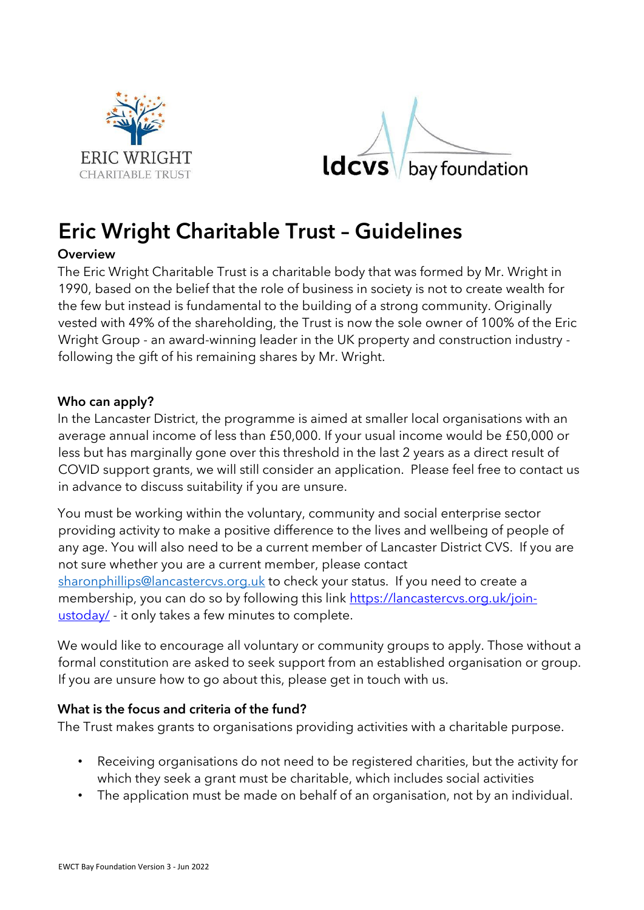



# Eric Wright Charitable Trust – Guidelines

## **Overview**

The Eric Wright Charitable Trust is a charitable body that was formed by Mr. Wright in 1990, based on the belief that the role of business in society is not to create wealth for the few but instead is fundamental to the building of a strong community. Originally vested with 49% of the shareholding, the Trust is now the sole owner of 100% of the Eric Wright Group - an award-winning leader in the UK property and construction industry following the gift of his remaining shares by Mr. Wright.

## Who can apply?

In the Lancaster District, the programme is aimed at smaller local organisations with an average annual income of less than £50,000. If your usual income would be £50,000 or less but has marginally gone over this threshold in the last 2 years as a direct result of COVID support grants, we will still consider an application. Please feel free to contact us in advance to discuss suitability if you are unsure.

You must be working within the voluntary, community and social enterprise sector providing activity to make a positive difference to the lives and wellbeing of people of any age. You will also need to be a current member of Lancaster District CVS. If you are not sure whether you are a current member, please contact sharonphillips@lancastercvs.org.uk to check your status. If you need to create a membership, you can do so by following this link https://lancastercys.org.uk/joinustoday/ - it only takes a few minutes to complete.

We would like to encourage all voluntary or community groups to apply. Those without a formal constitution are asked to seek support from an established organisation or group. If you are unsure how to go about this, please get in touch with us.

# What is the focus and criteria of the fund?

The Trust makes grants to organisations providing activities with a charitable purpose.

- Receiving organisations do not need to be registered charities, but the activity for which they seek a grant must be charitable, which includes social activities
- The application must be made on behalf of an organisation, not by an individual.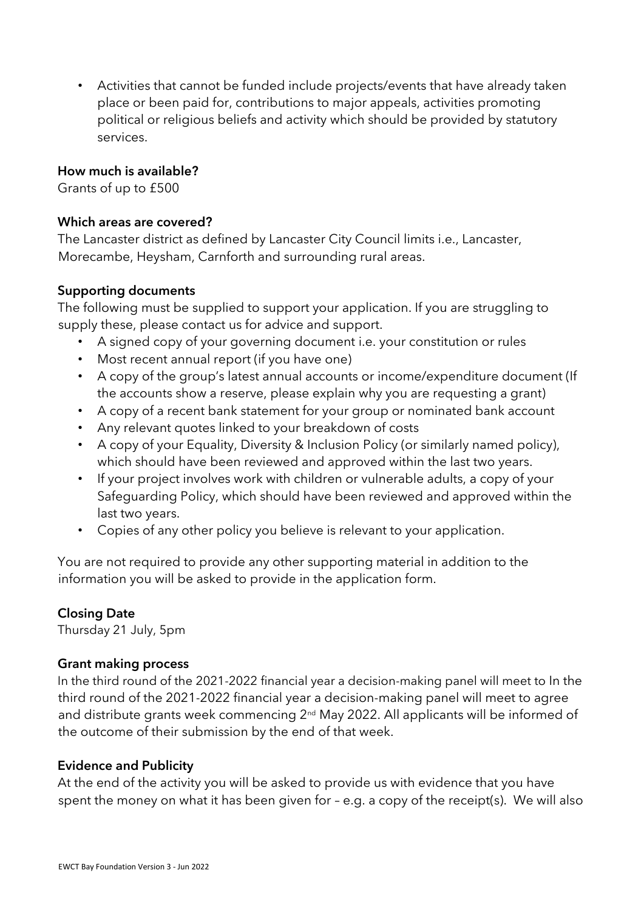• Activities that cannot be funded include projects/events that have already taken place or been paid for, contributions to major appeals, activities promoting political or religious beliefs and activity which should be provided by statutory services.

## How much is available?

Grants of up to £500

## Which areas are covered?

The Lancaster district as defined by Lancaster City Council limits i.e., Lancaster, Morecambe, Heysham, Carnforth and surrounding rural areas.

## Supporting documents

The following must be supplied to support your application. If you are struggling to supply these, please contact us for advice and support.

- A signed copy of your governing document i.e. your constitution or rules
- Most recent annual report (if you have one)
- A copy of the group's latest annual accounts or income/expenditure document (If the accounts show a reserve, please explain why you are requesting a grant)
- A copy of a recent bank statement for your group or nominated bank account
- Any relevant quotes linked to your breakdown of costs
- A copy of your Equality, Diversity & Inclusion Policy (or similarly named policy), which should have been reviewed and approved within the last two years.
- If your project involves work with children or vulnerable adults, a copy of your Safeguarding Policy, which should have been reviewed and approved within the last two years.
- Copies of any other policy you believe is relevant to your application.

You are not required to provide any other supporting material in addition to the information you will be asked to provide in the application form.

# Closing Date

Thursday 21 July, 5pm

## Grant making process

In the third round of the 2021-2022 financial year a decision-making panel will meet to In the third round of the 2021-2022 financial year a decision-making panel will meet to agree and distribute grants week commencing 2<sup>nd</sup> May 2022. All applicants will be informed of the outcome of their submission by the end of that week.

## Evidence and Publicity

At the end of the activity you will be asked to provide us with evidence that you have spent the money on what it has been given for – e.g. a copy of the receipt(s). We will also